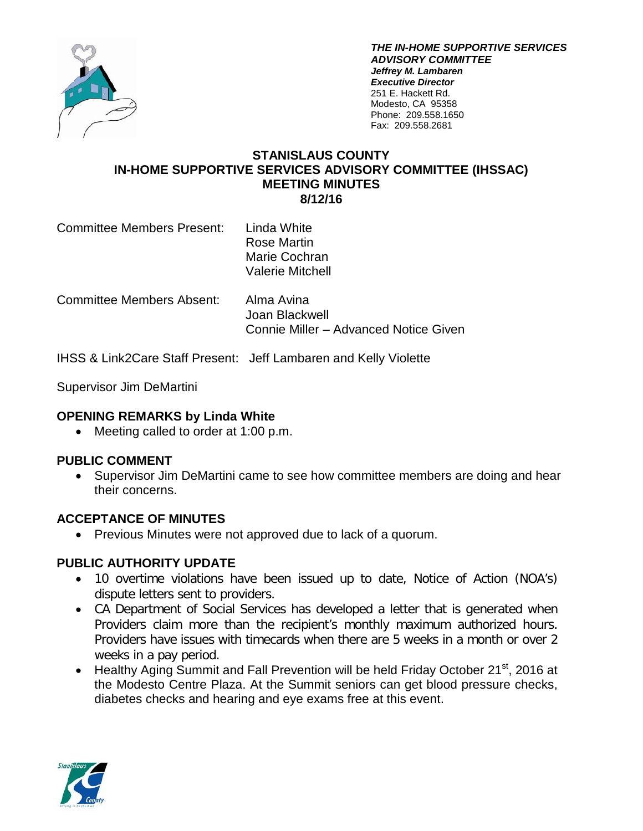

*THE IN-HOME SUPPORTIVE SERVICES ADVISORY COMMITTEE Jeffrey M. Lambaren Executive Director* 251 E. Hackett Rd. Modesto, CA 95358 Phone: 209.558.1650 Fax: 209.558.2681

## **STANISLAUS COUNTY IN-HOME SUPPORTIVE SERVICES ADVISORY COMMITTEE (IHSSAC) MEETING MINUTES 8/12/16**

Committee Members Present: Linda White Rose Martin Marie Cochran Valerie Mitchell

Committee Members Absent: Alma Avina Joan Blackwell Connie Miller – Advanced Notice Given

IHSS & Link2Care Staff Present: Jeff Lambaren and Kelly Violette

Supervisor Jim DeMartini

### **OPENING REMARKS by Linda White**

• Meeting called to order at 1:00 p.m.

### **PUBLIC COMMENT**

• Supervisor Jim DeMartini came to see how committee members are doing and hear their concerns.

### **ACCEPTANCE OF MINUTES**

• Previous Minutes were not approved due to lack of a quorum.

### **PUBLIC AUTHORITY UPDATE**

- 10 overtime violations have been issued up to date, Notice of Action (NOA's) dispute letters sent to providers.
- CA Department of Social Services has developed a letter that is generated when Providers claim more than the recipient's monthly maximum authorized hours. Providers have issues with timecards when there are 5 weeks in a month or over 2 weeks in a pay period.
- Healthy Aging Summit and Fall Prevention will be held Friday October 21<sup>st</sup>, 2016 at the Modesto Centre Plaza. At the Summit seniors can get blood pressure checks, diabetes checks and hearing and eye exams free at this event.

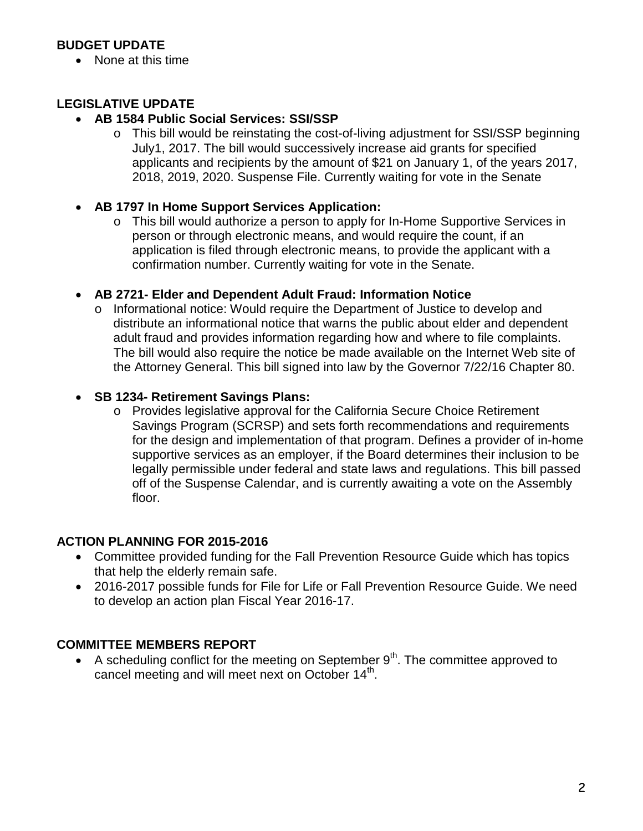# **BUDGET UPDATE**

• None at this time

# **LEGISLATIVE UPDATE**

## • **AB 1584 Public Social Services: SSI/SSP**

- o This bill would be reinstating the cost-of-living adjustment for SSI/SSP beginning July1, 2017. The bill would successively increase aid grants for specified applicants and recipients by the amount of \$21 on January 1, of the years 2017, 2018, 2019, 2020. Suspense File. Currently waiting for vote in the Senate
- **AB 1797 In Home Support Services Application:**
	- o This bill would authorize a person to apply for In-Home Supportive Services in person or through electronic means, and would require the count, if an application is filed through electronic means, to provide the applicant with a confirmation number. Currently waiting for vote in the Senate.

## • **AB 2721- Elder and Dependent Adult Fraud: Information Notice**

o Informational notice: Would require the Department of Justice to develop and distribute an informational notice that warns the public about elder and dependent adult fraud and provides information regarding how and where to file complaints. The bill would also require the notice be made available on the Internet Web site of the Attorney General. This bill signed into law by the Governor 7/22/16 Chapter 80.

## • **SB 1234- Retirement Savings Plans:**

o Provides legislative approval for the California Secure Choice Retirement Savings Program (SCRSP) and sets forth recommendations and requirements for the design and implementation of that program. Defines a provider of in-home supportive services as an employer, if the Board determines their inclusion to be legally permissible under federal and state laws and regulations. This bill passed off of the Suspense Calendar, and is currently awaiting a vote on the Assembly floor.

### **ACTION PLANNING FOR 2015-2016**

- Committee provided funding for the Fall Prevention Resource Guide which has topics that help the elderly remain safe.
- 2016-2017 possible funds for File for Life or Fall Prevention Resource Guide. We need to develop an action plan Fiscal Year 2016-17.

## **COMMITTEE MEMBERS REPORT**

• A scheduling conflict for the meeting on September  $9<sup>th</sup>$ . The committee approved to cancel meeting and will meet next on October 14<sup>th</sup>.